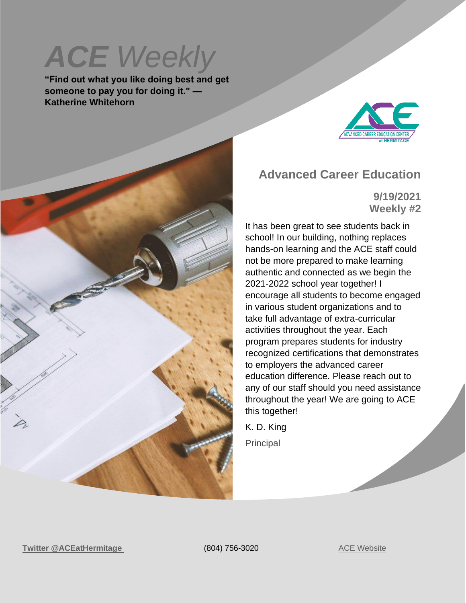# **ACE** Weekly

**"Find out what you like doing best and get someone to pay you for doing it." — Katherine Whitehorn**



#### **Advanced Career Education**

**9/19/2021 Weekly #2**

It has been great to see students back in school! In our building, nothing replaces hands-on learning and the ACE staff could not be more prepared to make learning authentic and connected as we begin the 2021-2022 school year together! I encourage all students to become engaged in various student organizations and to take full advantage of extra-curricular activities throughout the year. Each program prepares students for industry recognized certifications that demonstrates to employers the advanced career education difference. Please reach out to any of our staff should you need assistance throughout the year! We are going to ACE this together!

K. D. King Principal

**Twitter** [@ACEatHermitage](https://twitter.com/ACEatHermitage?ref_src=twsrc%5Egoogle%7Ctwcamp%5Eserp%7Ctwgr%5Eauthor) (804) 756-3020 [ACE Website](https://acecenterathermitage.henricoschools.us/)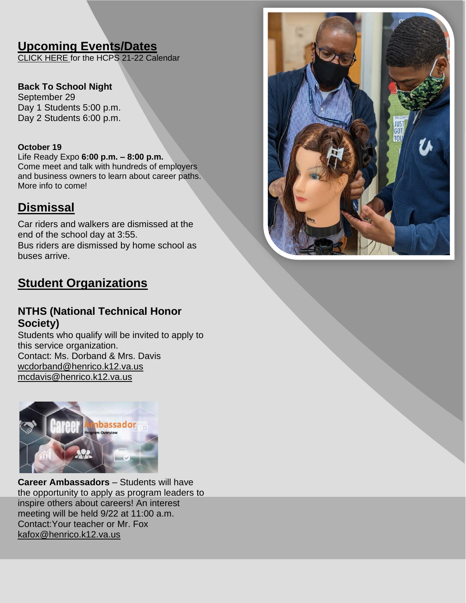## **Upcoming Events/Dates**

[CLICK HERE f](http://track.spe.schoolmessenger.com/f/a/xwNFdIS3OBonMf9XwdbnBQ~~/AAAAAQA~/RgRjHicOP0RNaHR0cHM6Ly9oZW5yaWNvc2Nob29scy51cy93cC1jb250ZW50L3VwbG9hZHMvSENQUy1TY2hvb2wtQ2FsZW5kYXItMjAyMS0yMi5wZGZXB3NjaG9vbG1CCmE4jvM8Ycm9hsxSGGtka2luZ0BoZW5yaWNvLmsxMi52YS51c1gEAAAAAQ~~)or the HCPS 21-22 Calendar

**Back To School Night** September 29 Day 1 Students 5:00 p.m. Day 2 Students 6:00 p.m.

#### **October 19**

Life Ready Expo **6:00 p.m. – 8:00 p.m.** Come meet and talk with hundreds of employers and business owners to learn about career paths. More info to come!

#### **Dismissal**

Car riders and walkers are dismissed at the end of the school day at 3:55. Bus riders are dismissed by home school as buses arrive.

## **Student Organizations**

#### **NTHS (National Technical Honor Society)**

Students who qualify will be invited to apply to this service organization. Contact: Ms. Dorband & Mrs. Davis [wcdorband@henrico.k12.va.us](mailto:wcdorband@henrico.k12.va.us) [mcdavis@henrico.k12.va.us](mailto:mcdavis@henrico.k12.va.us)



**Career Ambassadors** – Students will have the opportunity to apply as program leaders to inspire others about careers! An interest meeting will be held 9/22 at 11:00 a.m. Contact:Your teacher or [Mr. Fox](mailto:kafox@henrico.k12.va.us)  [kafox@henrico.k12.va.us](mailto:kafox@henrico.k12.va.us)